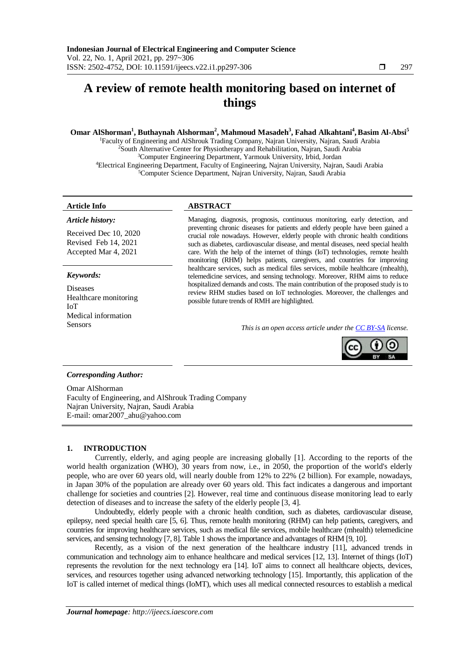# **A review of remote health monitoring based on internet of things**

# **Omar AlShorman<sup>1</sup> , Buthaynah Alshorman<sup>2</sup> , Mahmoud Masadeh<sup>3</sup> , Fahad Alkahtani<sup>4</sup> ,Basim Al-Absi<sup>5</sup>**

Faculty of Engineering and AlShrouk Trading Company, Najran University, Najran, Saudi Arabia <sup>2</sup>South Alternative Center for Physiotherapy and Rehabilitation, Najran, Saudi Arabia Computer Engineering Department, Yarmouk University, Irbid, Jordan Electrical Engineering Department, Faculty of Engineering, Najran University, Najran, Saudi Arabia Computer Science Department, Najran University, Najran, Saudi Arabia

#### *Article history:*

Received Dec 10, 2020 Revised Feb 14, 2021 Accepted Mar 4, 2021

#### *Keywords:*

Diseases Healthcare monitoring IoT Medical information

# **Article Info ABSTRACT**

Managing, diagnosis, prognosis, continuous monitoring, early detection, and preventing chronic diseases for patients and elderly people have been gained a crucial role nowadays. However, elderly people with chronic health conditions such as diabetes, cardiovascular disease, and mental diseases, need special health care. With the help of the internet of things (IoT) technologies, remote health monitoring (RHM) helps patients, caregivers, and countries for improving healthcare services, such as medical files services, mobile healthcare (mhealth), telemedicine services, and sensing technology. Moreover, RHM aims to reduce hospitalized demands and costs. The main contribution of the proposed study is to review RHM studies based on IoT technologies. Moreover, the challenges and possible future trends of RMH are highlighted.

Sensors *This is an open access article under the [CC BY-SA](https://creativecommons.org/licenses/by-sa/4.0/) license.*



### *Corresponding Author:*

Omar AlShorman Faculty of Engineering, and AlShrouk Trading Company Najran University, Najran, Saudi Arabia E-mail: omar2007\_ahu@yahoo.com

### **1. INTRODUCTION**

Currently, elderly, and aging people are increasing globally [1]. According to the reports of the world health organization (WHO), 30 years from now, i.e., in 2050, the proportion of the world's elderly people, who are over 60 years old, will nearly double from 12% to 22% (2 billion). For example, nowadays, in Japan 30% of the population are already over 60 years old. This fact indicates a dangerous and important challenge for societies and countries [2]. However, real time and continuous disease monitoring lead to early detection of diseases and to increase the safety of the elderly people [3, 4].

Undoubtedly, elderly people with a chronic health condition, such as diabetes, cardiovascular disease, epilepsy, need special health care [5, 6]. Thus, remote health monitoring (RHM) can help patients, caregivers, and countries for improving healthcare services, such as medical file services, mobile healthcare (mhealth) telemedicine services, and sensing technology [7, 8]. Table 1 shows the importance and advantages of RHM [9, 10].

Recently, as a vision of the next generation of the healthcare industry [11], advanced trends in communication and technology aim to enhance healthcare and medical services [12, 13]. Internet of things (IoT) represents the revolution for the next technology era [14]. IoT aims to connect all healthcare objects, devices, services, and resources together using advanced networking technology [15]. Importantly, this application of the IoT is called internet of medical things (IoMT), which uses all medical connected resources to establish a medical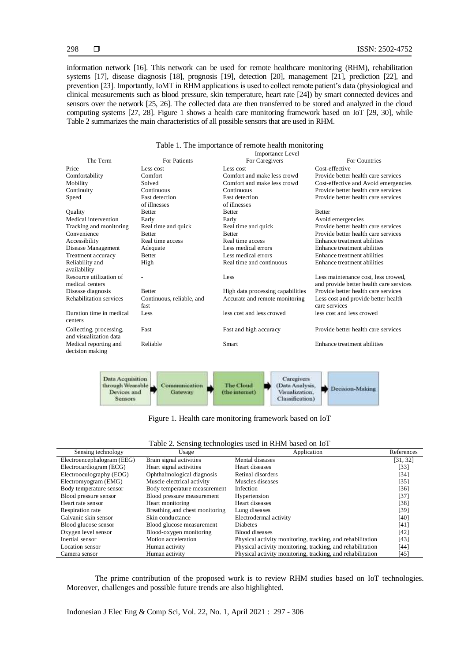information network [16]. This network can be used for remote healthcare monitoring (RHM), rehabilitation systems [17], disease diagnosis [18], prognosis [19], detection [20], management [21], prediction [22], and prevention [23]. Importantly, IoMT in RHM applications is used to collect remote patient's data (physiological and clinical measurements such as blood pressure, skin temperature, heart rate [24]) by smart connected devices and sensors over the network [25, 26]. The collected data are then transferred to be stored and analyzed in the cloud computing systems [27, 28]. Figure 1 shows a health care monitoring framework based on IoT [29, 30], while Table 2 summarizes the main characteristics of all possible sensors that are used in RHM.

|                                | <b>Importance Level</b>   |                                   |                                         |  |
|--------------------------------|---------------------------|-----------------------------------|-----------------------------------------|--|
| The Term                       | For Patients              | For Caregivers                    | For Countries                           |  |
| Price                          | Less cost                 | Less cost                         | Cost-effective                          |  |
| Comfortability                 | Comfort                   | Comfort and make less crowd       | Provide better health care services     |  |
| Mobility                       | Solved                    | Comfort and make less crowd       | Cost-effective and Avoid emergencies    |  |
| Continuity                     | Continuous                | Continuous                        | Provide better health care services     |  |
| Speed                          | <b>Fast detection</b>     | <b>Fast detection</b>             | Provide better health care services     |  |
|                                | of illnesses              | of illnesses                      |                                         |  |
| Quality                        | <b>Better</b>             | <b>Better</b>                     | <b>Better</b>                           |  |
| Medical intervention           | Early                     | Early                             | Avoid emergencies                       |  |
| Tracking and monitoring        | Real time and quick       | Real time and quick               | Provide better health care services     |  |
| Convenience                    | <b>Better</b>             | <b>Better</b>                     | Provide better health care services     |  |
| Accessibility                  | Real time access          | Real time access                  | Enhance treatment abilities             |  |
| Disease Management             | Adequate                  | Less medical errors               | Enhance treatment abilities             |  |
| Treatment accuracy             | <b>Better</b>             | Less medical errors               | Enhance treatment abilities             |  |
| Reliability and                | High                      | Real time and continuous          | Enhance treatment abilities             |  |
| availability                   |                           |                                   |                                         |  |
| Resource utilization of        |                           | Less                              | Less maintenance cost, less crowed,     |  |
| medical centers                |                           |                                   | and provide better health care services |  |
| Disease diagnosis              | <b>Better</b>             | High data processing capabilities | Provide better health care services     |  |
| <b>Rehabilitation services</b> | Continuous, reliable, and | Accurate and remote monitoring    | Less cost and provide better health     |  |
|                                | fast                      |                                   | care services                           |  |
| Duration time in medical       | Less                      | less cost and less crowed         | less cost and less crowed               |  |
| centers                        |                           |                                   |                                         |  |
| Collecting, processing,        | Fast                      | Fast and high accuracy            | Provide better health care services     |  |
| and visualization data         |                           |                                   |                                         |  |
| Medical reporting and          | Reliable                  | Smart                             | Enhance treatment abilities             |  |
| decision making                |                           |                                   |                                         |  |

|  | Table 1. The importance of remote health monitoring |  |  |  |  |
|--|-----------------------------------------------------|--|--|--|--|
|--|-----------------------------------------------------|--|--|--|--|



Figure 1. Health care monitoring framework based on IoT

| Sensing technology         | Usage                          | Application                                                | References |
|----------------------------|--------------------------------|------------------------------------------------------------|------------|
| Electroencephalogram (EEG) | Brain signal activities        | Mental diseases                                            | [31, 32]   |
| Electrocardiogram (ECG)    | Heart signal activities        | Heart diseases                                             | [33]       |
| Electrooculography (EOG)   | Ophthalmological diagnosis     | Retinal disorders                                          | [34]       |
| Electromyogram (EMG)       | Muscle electrical activity     | Muscles diseases                                           | [35]       |
| Body temperature sensor    | Body temperature measurement   | Infection                                                  | [36]       |
| Blood pressure sensor      | Blood pressure measurement     | Hypertension                                               | $[37]$     |
| Heart rate sensor          | Heart monitoring               | Heart diseases                                             | [38]       |
| Respiration rate           | Breathing and chest monitoring | Lung diseases                                              | [39]       |
| Galvanic skin sensor       | Skin conductance               | Electrodermal activity                                     | [40]       |
| Blood glucose sensor       | Blood glucose measurement      | <b>Diabetes</b>                                            | [41]       |
| Oxygen level sensor        | Blood-oxygen monitoring        | <b>Blood diseases</b>                                      | [42]       |
| Inertial sensor            | Motion acceleration            | Physical activity monitoring, tracking, and rehabilitation | [43]       |
| Location sensor            | Human activity                 | Physical activity monitoring, tracking, and rehabilitation | $[44]$     |
| Camera sensor              | Human activity                 | Physical activity monitoring, tracking, and rehabilitation | [45]       |

The prime contribution of the proposed work is to review RHM studies based on IoT technologies. Moreover, challenges and possible future trends are also highlighted.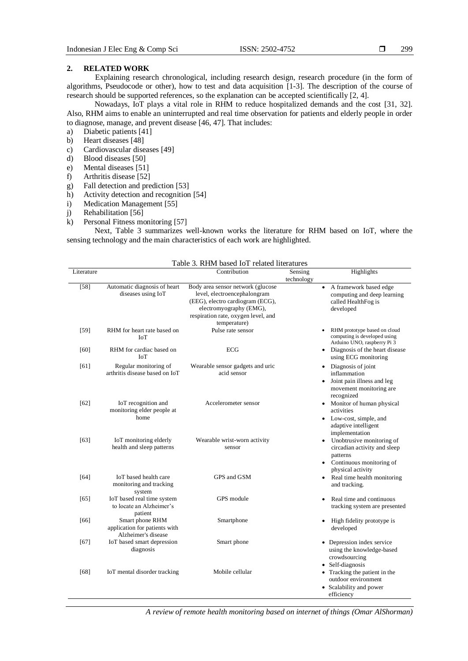# **2. RELATED WORK**

Explaining research chronological, including research design, research procedure (in the form of algorithms, Pseudocode or other), how to test and data acquisition [1-3]. The description of the course of research should be supported references, so the explanation can be accepted scientifically [2, 4].

Nowadays, IoT plays a vital role in RHM to reduce hospitalized demands and the cost [31, 32]. Also, RHM aims to enable an uninterrupted and real time observation for patients and elderly people in order to diagnose, manage, and prevent disease [46, 47]. That includes:

- a) Diabetic patients [41]
- b) Heart diseases [48]
- c) [Cardiovascular](https://www.mdpi.com/1424-8220/17/1/176) diseases [49]
- d) Blood diseases [50]
- e) Mental diseases [51]
- f) Arthritis disease [52]
- g) Fall detection and prediction [53]
- h) Activity detection and recognition [54]
- i) Medication Management [55]
- j) [Rehabilitation](https://www.cbi.ca/services/cognitive-rehabilitation?l=ph) [56]
- k) Personal Fitness monitoring [57]

Next, Table 3 summarizes well-known works the literature for RHM based on IoT, where the sensing technology and the main characteristics of each work are highlighted.

|            | Table 3. RHM based IoT related literatures                              |                                                                                                                                                                                         |                       |                                                                                                                                    |  |  |
|------------|-------------------------------------------------------------------------|-----------------------------------------------------------------------------------------------------------------------------------------------------------------------------------------|-----------------------|------------------------------------------------------------------------------------------------------------------------------------|--|--|
| Literature |                                                                         | Contribution                                                                                                                                                                            | Sensing<br>technology | Highlights                                                                                                                         |  |  |
| $[58]$     | Automatic diagnosis of heart<br>diseases using IoT                      | Body area sensor network (glucose<br>level, electroencephalongram<br>(EEG), electro cardiogram (ECG),<br>electromyography (EMG),<br>respiration rate, oxygen level, and<br>temperature) |                       | A framework based edge<br>$\bullet$<br>computing and deep learning<br>called HealthFog is<br>developed                             |  |  |
| $[59]$     | RHM for heart rate based on<br>IoT                                      | Pulse rate sensor                                                                                                                                                                       |                       | RHM prototype based on cloud<br>computing is developed using<br>Arduino UNO, raspberry Pi 3                                        |  |  |
| [60]       | RHM for cardiac based on<br>IoT                                         | ECG                                                                                                                                                                                     |                       | • Diagnosis of the heart disease<br>using ECG monitoring                                                                           |  |  |
| [61]       | Regular monitoring of<br>arthritis disease based on IoT                 | Wearable sensor gadgets and uric<br>acid sensor                                                                                                                                         |                       | • Diagnosis of joint<br>inflammation<br>• Joint pain illness and leg<br>movement monitoring are<br>recognized                      |  |  |
| [62]       | IoT recognition and<br>monitoring elder people at<br>home               | Accelerometer sensor                                                                                                                                                                    |                       | • Monitor of human physical<br>activities<br>• Low-cost, simple, and<br>adaptive intelligent<br>implementation                     |  |  |
| [63]       | IoT monitoring elderly<br>health and sleep patterns                     | Wearable wrist-worn activity<br>sensor                                                                                                                                                  |                       | • Unobtrusive monitoring of<br>circadian activity and sleep<br>patterns<br>$\bullet$ Continuous monitoring of<br>physical activity |  |  |
| [64]       | IoT based health care<br>monitoring and tracking<br>system              | GPS and GSM                                                                                                                                                                             |                       | • Real time health monitoring<br>and tracking.                                                                                     |  |  |
| [65]       | IoT based real time system<br>to locate an Alzheimer's<br>patient       | GPS module                                                                                                                                                                              |                       | Real time and continuous<br>tracking system are presented                                                                          |  |  |
| [66]       | Smart phone RHM<br>application for patients with<br>Alzheimer's disease | Smartphone                                                                                                                                                                              |                       | High fidelity prototype is<br>developed                                                                                            |  |  |
| [67]       | IoT based smart depression<br>diagnosis                                 | Smart phone                                                                                                                                                                             |                       | • Depression index service<br>using the knowledge-based<br>crowdsourcing                                                           |  |  |
| [68]       | IoT mental disorder tracking                                            | Mobile cellular                                                                                                                                                                         |                       | • Self-diagnosis<br>• Tracking the patient in the<br>outdoor environment<br>• Scalability and power<br>efficiency                  |  |  |

*A review of remote health monitoring based on internet of things (Omar AlShorman)*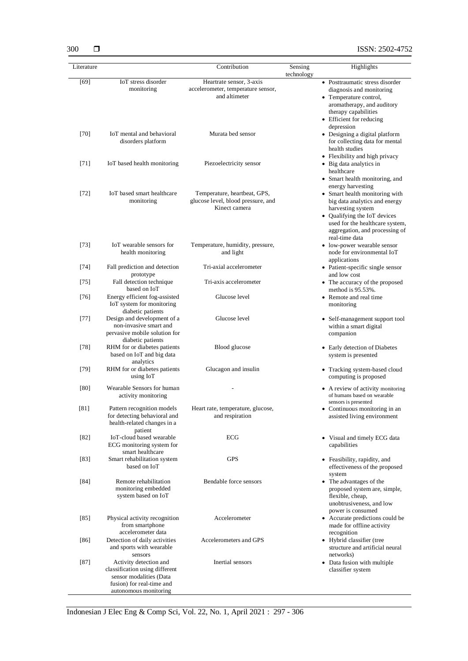| 300         | ⊓ |
|-------------|---|
| I itaratura |   |

| Literature |                                                                                                                                           | Contribution                                                                        | Sensing    | Highlights                                                                                                                                                                                                  |
|------------|-------------------------------------------------------------------------------------------------------------------------------------------|-------------------------------------------------------------------------------------|------------|-------------------------------------------------------------------------------------------------------------------------------------------------------------------------------------------------------------|
| [69]       | IoT stress disorder                                                                                                                       | Heartrate sensor, 3-axis                                                            | technology | • Posttraumatic stress disorder                                                                                                                                                                             |
|            | monitoring                                                                                                                                | accelerometer, temperature sensor,<br>and altimeter                                 |            | diagnosis and monitoring<br>• Temperature control,<br>aromatherapy, and auditory<br>therapy capabilities<br>• Efficient for reducing<br>depression                                                          |
| $[70]$     | IoT mental and behavioral<br>disorders platform                                                                                           | Murata bed sensor                                                                   |            | • Designing a digital platform<br>for collecting data for mental<br>health studies<br>• Flexibility and high privacy                                                                                        |
| $[71]$     | IoT based health monitoring                                                                                                               | Piezoelectricity sensor                                                             |            | • Big data analytics in<br>healthcare<br>• Smart health monitoring, and<br>energy harvesting                                                                                                                |
| $[72]$     | IoT based smart healthcare<br>monitoring                                                                                                  | Temperature, heartbeat, GPS,<br>glucose level, blood pressure, and<br>Kinect camera |            | • Smart health monitoring with<br>big data analytics and energy<br>harvesting system<br>• Qualifying the IoT devices<br>used for the healthcare system,<br>aggregation, and processing of<br>real-time data |
| [73]       | IoT wearable sensors for<br>health monitoring                                                                                             | Temperature, humidity, pressure,<br>and light                                       |            | • low-power wearable sensor<br>node for environmental IoT<br>applications                                                                                                                                   |
| [74]       | Fall prediction and detection<br>prototype                                                                                                | Tri-axial accelerometer                                                             |            | • Patient-specific single sensor<br>and low cost                                                                                                                                                            |
| $[75]$     | Fall detection technique<br>based on IoT                                                                                                  | Tri-axis accelerometer                                                              |            | • The accuracy of the proposed<br>method is 95.53%.                                                                                                                                                         |
| $[76]$     | Energy efficient fog-assisted<br>IoT system for monitoring<br>diabetic patients                                                           | Glucose level                                                                       |            | • Remote and real time<br>monitoring                                                                                                                                                                        |
| $[77]$     | Design and development of a<br>non-invasive smart and<br>pervasive mobile solution for<br>diabetic patients                               | Glucose level                                                                       |            | • Self-management support tool<br>within a smart digital<br>companion                                                                                                                                       |
| $[78]$     | RHM for or diabetes patients<br>based on IoT and big data<br>analytics                                                                    | Blood glucose                                                                       |            | • Early detection of Diabetes<br>system is presented                                                                                                                                                        |
| [79]       | RHM for or diabetes patients<br>using IoT                                                                                                 | Glucagon and insulin                                                                |            | • Tracking system-based cloud<br>computing is proposed                                                                                                                                                      |
| [80]       | Wearable Sensors for human<br>activity monitoring                                                                                         |                                                                                     |            | • A review of activity monitoring<br>of humans based on wearable<br>sensors is presented                                                                                                                    |
| [81]       | Pattern recognition models<br>for detecting behavioral and<br>health-related changes in a<br>patient                                      | Heart rate, temperature, glucose,<br>and respiration                                |            | • Continuous monitoring in an<br>assisted living environment                                                                                                                                                |
| [82]       | IoT-cloud based wearable<br>ECG monitoring system for<br>smart healthcare                                                                 | ECG                                                                                 |            | • Visual and timely ECG data<br>capabilities                                                                                                                                                                |
| [83]       | Smart rehabilitation system<br>based on IoT                                                                                               | GPS                                                                                 |            | • Feasibility, rapidity, and<br>effectiveness of the proposed<br>system                                                                                                                                     |
| [84]       | Remote rehabilitation<br>monitoring embedded<br>system based on IoT                                                                       | Bendable force sensors                                                              |            | • The advantages of the<br>proposed system are, simple,<br>flexible, cheap,<br>unobtrusiveness, and low<br>power is consumed                                                                                |
| [85]       | Physical activity recognition<br>from smartphone<br>accelerometer data                                                                    | Accelerometer                                                                       |            | • Accurate predictions could be<br>made for offline activity<br>recognition                                                                                                                                 |
| [86]       | Detection of daily activities<br>and sports with wearable<br>sensors                                                                      | Accelerometers and GPS                                                              |            | • Hybrid classifier (tree<br>structure and artificial neural<br>networks)                                                                                                                                   |
| $[87]$     | Activity detection and<br>classification using different<br>sensor modalities (Data<br>fusion) for real-time and<br>autonomous monitoring | Inertial sensors                                                                    |            | • Data fusion with multiple<br>classifier system                                                                                                                                                            |

Indonesian J Elec Eng & Comp Sci, Vol. 22, No. 1, April 2021 : 297 - 306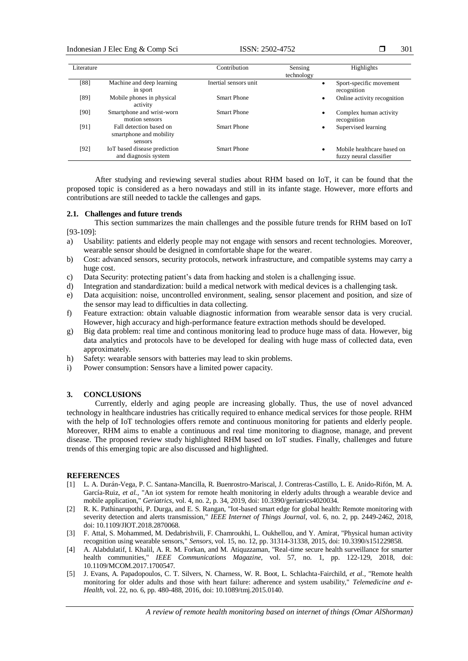### Indonesian J Elec Eng & Comp Sci ISSN: 2502-4752

| Literature |                              | Contribution          | Sensing    | Highlights                  |
|------------|------------------------------|-----------------------|------------|-----------------------------|
|            |                              |                       | technology |                             |
|            |                              |                       |            |                             |
| [88]       | Machine and deep learning    | Inertial sensors unit | $\bullet$  | Sport-specific movement     |
|            | in sport                     |                       |            | recognition                 |
|            |                              |                       |            |                             |
| [89]       | Mobile phones in physical    | Smart Phone           | ٠          | Online activity recognition |
|            | activity                     |                       |            |                             |
|            |                              |                       |            |                             |
| [90]       | Smartphone and wrist-worn    | <b>Smart Phone</b>    | $\bullet$  | Complex human activity      |
|            | motion sensors               |                       |            | recognition                 |
|            | Fall detection based on      | <b>Smart Phone</b>    |            |                             |
| [91]       |                              |                       | $\bullet$  | Supervised learning         |
|            | smartphone and mobility      |                       |            |                             |
|            | sensors                      |                       |            |                             |
|            |                              |                       |            |                             |
| [92]       | IoT based disease prediction | Smart Phone           | ٠          | Mobile healthcare based on  |
|            | and diagnosis system         |                       |            | fuzzy neural classifier     |
|            |                              |                       |            |                             |

After studying and reviewing several studies about RHM based on IoT, it can be found that the proposed topic is considered as a hero nowadays and still in its infante stage. However, more efforts and contributions are still needed to tackle the callenges and gaps.

#### **2.1. Challenges and future trends**

This section summarizes the main challenges and the possible future trends for RHM based on IoT [93-109]:

- a) Usability: patients and elderly people may not engage with sensors and recent technologies. Moreover, wearable sensor should be designed in comfortable shape for the wearer.
- b) Cost: advanced sensors, security protocols, network infrastructure, and compatible systems may carry a huge cost.
- c) Data Security: protecting patient's data from hacking and stolen is a challenging issue.
- d) Integration and standardization: build a medical network with medical devices is a challenging task.
- e) Data acquisition: noise, uncontrolled environment, sealing, sensor placement and position, and size of the sensor may lead to difficulties in data collecting.
- f) Feature extraction: obtain valuable diagnostic information from wearable sensor data is very crucial. However, high accuracy and high-performance feature extraction methods should be developed.
- g) Big data problem: real time and continous monitoring lead to produce huge mass of data. However, big data analytics and protocols have to be developed for dealing with huge mass of collected data, even approximately.
- h) Safety: wearable sensors with batteries may lead to skin problems.
- i) Power consumption: Sensors have a limited power capacity.

# **3. CONCLUSIONS**

Currently, elderly and aging people are increasing globally. Thus, the use of novel advanced technology in healthcare industries has critically required to enhance medical services for those people. RHM with the help of IoT technologies offers remote and continuous monitoring for patients and elderly people. Moreover, RHM aims to enable a continuous and real time monitoring to diagnose, manage, and prevent disease. The proposed review study highlighted RHM based on IoT studies. Finally, challenges and future trends of this emerging topic are also discussed and highlighted.

### **REFERENCES**

- [1] L. A. Durán-Vega, P. C. Santana-Mancilla, R. Buenrostro-Mariscal, J. Contreras-Castillo, L. E. Anido-Rifón, M. A. García-Ruiz, *et al.,* "An iot system for remote health monitoring in elderly adults through a wearable device and mobile application," *Geriatrics*, vol. 4, no. 2, p. 34, 2019, doi: 10.3390/geriatrics4020034.
- [2] R. K. Pathinarupothi, P. Durga, and E. S. Rangan, "Iot-based smart edge for global health: Remote monitoring with severity detection and alerts transmission," *IEEE Internet of Things Journal*, vol. 6, no. 2, pp. 2449-2462, 2018, doi: 10.1109/JIOT.2018.2870068.
- [3] F. Attal, S. Mohammed, M. Dedabrishvili, F. Chamroukhi, L. Oukhellou, and Y. Amirat, "Physical human activity recognition using wearable sensors," *Sensors*, vol. 15, no. 12, pp. 31314-31338, 2015, doi: 10.3390/s151229858.
- [4] A. Alabdulatif, I. Khalil, A. R. M. Forkan, and M. Atiquzzaman, "Real-time secure health surveillance for smarter health communities," *IEEE Communications Magazine*, vol. 57, no. 1, pp. 122-129, 2018, doi: 10.1109/MCOM.2017.1700547.
- [5] J. Evans, A. Papadopoulos, C. T. Silvers, N. Charness, W. R. Boot, L. Schlachta-Fairchild, *et al.,* "Remote health monitoring for older adults and those with heart failure: adherence and system usability," *Telemedicine and e-Health*, vol. 22, no. 6, pp. 480-488, 2016, doi: 10.1089/tmj.2015.0140.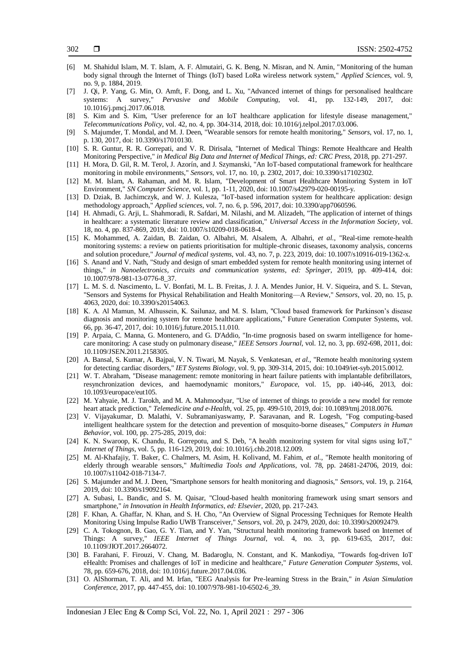- [6] M. Shahidul Islam, M. T. Islam, A. F. Almutairi, G. K. Beng, N. Misran, and N. Amin, "Monitoring of the human body signal through the Internet of Things (IoT) based LoRa wireless network system," *Applied Sciences*, vol. 9, no. 9, p. 1884, 2019.
- [7] J. Qi, P. Yang, G. Min, O. Amft, F. Dong, and L. Xu, "Advanced internet of things for personalised healthcare systems: A survey," *Pervasive and Mobile Computing*, vol. 41, pp. 132-149, 2017, doi: 10.1016/j.pmcj.2017.06.018.
- [8] S. Kim and S. Kim, "User preference for an IoT healthcare application for lifestyle disease management," *Telecommunications Policy*, vol. 42, no. 4, pp. 304-314, 2018, doi: 10.1016/j.telpol.2017.03.006.
- [9] S. Majumder, T. Mondal, and M. J. Deen, "Wearable sensors for remote health monitoring," *Sensors*, vol. 17, no. 1, p. 130, 2017, doi: 10.3390/s17010130.
- [10] S. R. Guntur, R. R. Gorrepati, and V. R. Dirisala, "Internet of Medical Things: Remote Healthcare and Health Monitoring Perspective," *in Medical Big Data and Internet of Medical Things, ed: CRC Press*, 2018, pp. 271-297.
- [11] H. Mora, D. Gil, R. M. Terol, J. Azorín, and J. Szymanski, "An IoT-based computational framework for healthcare monitoring in mobile environments," *Sensors*, vol. 17, no. 10, p. 2302, 2017, doi: 10.3390/s17102302.
- [12] M. M. Islam, A. Rahaman, and M. R. Islam, "Development of Smart Healthcare Monitoring System in IoT Environment," *SN Computer Science*, vol. 1, pp. 1-11, 2020, doi: 10.1007/s42979-020-00195-y.
- [13] D. Dziak, B. Jachimczyk, and W. J. Kulesza, "IoT-based information system for healthcare application: design methodology approach," *Applied sciences*, vol. 7, no. 6, p. 596, 2017, doi: 10.3390/app7060596.
- [14] H. Ahmadi, G. Arji, L. Shahmoradi, R. Safdari, M. Nilashi, and M. Alizadeh, "The application of internet of things in healthcare: a systematic literature review and classification," *Universal Access in the Information Society*, vol. 18, no. 4, pp. 837-869, 2019, doi: 10.1007/s10209-018-0618-4.
- [15] K. Mohammed, A. Zaidan, B. Zaidan, O. Albahri, M. Alsalem, A. Albahri, *et al.,* "Real-time remote-health monitoring systems: a review on patients prioritisation for multiple-chronic diseases, taxonomy analysis, concerns and solution procedure," *Journal of medical systems*, vol. 43, no. 7, p. 223, 2019, doi: 10.1007/s10916-019-1362-x.
- [16] S. Anand and V. Nath, "Study and design of smart embedded system for remote health monitoring using internet of things," *in Nanoelectronics, circuits and communication systems, ed: Springer*, 2019, pp. 409-414, doi: 10.1007/978-981-13-0776-8\_37.
- [17] L. M. S. d. Nascimento, L. V. Bonfati, M. L. B. Freitas, J. J. A. Mendes Junior, H. V. Siqueira, and S. L. Stevan, "Sensors and Systems for Physical Rehabilitation and Health Monitoring—A Review," *Sensors*, vol. 20, no. 15, p. 4063, 2020, doi: 10.3390/s20154063.
- [18] K. A. Al Mamun, M. Alhussein, K. Sailunaz, and M. S. Islam, "Cloud based framework for Parkinson's disease diagnosis and monitoring system for remote healthcare applications," Future Generation Computer Systems, vol. 66, pp. 36-47, 2017, doi: 10.1016/j.future.2015.11.010.
- [19] P. Arpaia, C. Manna, G. Montenero, and G. D'Addio, "In-time prognosis based on swarm intelligence for homecare monitoring: A case study on pulmonary disease," *IEEE Sensors Journal*, vol. 12, no. 3, pp. 692-698, 2011, doi: 10.1109/JSEN.2011.2158305.
- [20] A. Bansal, S. Kumar, A. Bajpai, V. N. Tiwari, M. Nayak, S. Venkatesan, *et al.,* "Remote health monitoring system for detecting cardiac disorders," *IET Systems Biology*, vol. 9, pp. 309-314, 2015, doi: 10.1049/iet-syb.2015.0012.
- [21] W. T. Abraham, "Disease management: remote monitoring in heart failure patients with implantable defibrillators, resynchronization devices, and haemodynamic monitors," *Europace*, vol. 15, pp. i40-i46, 2013, doi: 10.1093/europace/eut105.
- [22] M. Yahyaie, M. J. Tarokh, and M. A. Mahmoodyar, "Use of internet of things to provide a new model for remote heart attack prediction," *Telemedicine and e-Health*, vol. 25, pp. 499-510, 2019, doi: 10.1089/tmj.2018.0076.
- [23] V. Vijayakumar, D. Malathi, V. Subramaniyaswamy, P. Saravanan, and R. Logesh, "Fog computing-based intelligent healthcare system for the detection and prevention of mosquito-borne diseases," *Computers in Human Behavior*, vol. 100, pp. 275-285, 2019, doi:
- [24] K. N. Swaroop, K. Chandu, R. Gorrepotu, and S. Deb, "A health monitoring system for vital signs using IoT," *Internet of Things*, vol. 5, pp. 116-129, 2019, doi: 10.1016/j.chb.2018.12.009.
- [25] M. Al-Khafajiy, T. Baker, C. Chalmers, M. Asim, H. Kolivand, M. Fahim, *et al.,* "Remote health monitoring of elderly through wearable sensors," *Multimedia Tools and Applications*, vol. 78, pp. 24681-24706, 2019, doi: 10.1007/s11042-018-7134-7.
- [26] S. Majumder and M. J. Deen, "Smartphone sensors for health monitoring and diagnosis," *Sensors*, vol. 19, p. 2164, 2019, doi: 10.3390/s19092164.
- [27] A. Subasi, L. Bandic, and S. M. Qaisar, "Cloud-based health monitoring framework using smart sensors and smartphone," *in Innovation in Health Informatics, ed: Elsevier*, 2020, pp. 217-243.
- [28] F. Khan, A. Ghaffar, N. Khan, and S. H. Cho, "An Overview of Signal Processing Techniques for Remote Health Monitoring Using Impulse Radio UWB Transceiver," *Sensors*, vol. 20, p. 2479, 2020, doi: 10.3390/s20092479.
- [29] C. A. Tokognon, B. Gao, G. Y. Tian, and Y. Yan, "Structural health monitoring framework based on Internet of Things: A survey," *IEEE Internet of Things Journal*, vol. 4, no. 3, pp. 619-635, 2017, doi: 10.1109/JIOT.2017.2664072.
- [30] B. Farahani, F. Firouzi, V. Chang, M. Badaroglu, N. Constant, and K. Mankodiya, "Towards fog-driven IoT eHealth: Promises and challenges of IoT in medicine and healthcare," *Future Generation Computer Systems*, vol. 78, pp. 659-676, 2018, doi: 10.1016/j.future.2017.04.036.
- [31] O. AlShorman, T. Ali, and M. Irfan, "EEG Analysis for Pre-learning Stress in the Brain," *in Asian Simulation Conference*, 2017, pp. 447-455, doi: 10.1007/978-981-10-6502-6\_39.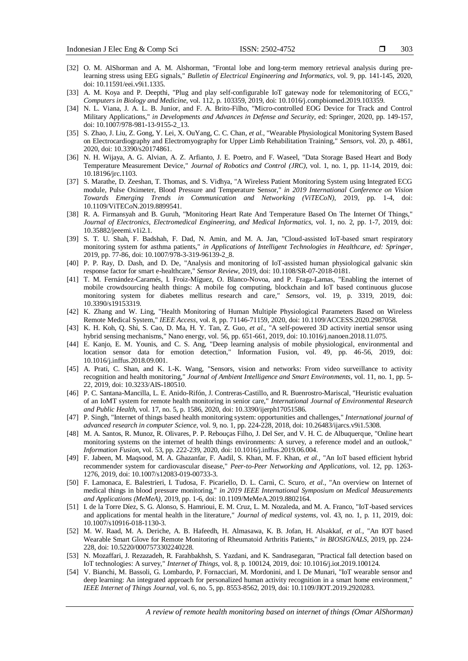- [32] O. M. AlShorman and A. M. Alshorman, "Frontal lobe and long-term memory retrieval analysis during prelearning stress using EEG signals," *Bulletin of Electrical Engineering and Informatics*, vol. 9, pp. 141-145, 2020, doi: 10.11591/eei.v9i1.1335.
- [33] A. M. Koya and P. Deepthi, "Plug and play self-configurable IoT gateway node for telemonitoring of ECG," *Computers in Biology and Medicine*, vol. 112, p. 103359, 2019, doi: 10.1016/j.compbiomed.2019.103359.
- [34] N. L. Viana, J. A. L. B. Junior, and F. A. Brito-Filho, "Micro-controlled EOG Device for Track and Control Military Applications," *in Developments and Advances in Defense and Security*, ed: Springer, 2020, pp. 149-157, doi: 10.1007/978-981-13-9155-2\_13.
- [35] S. Zhao, J. Liu, Z. Gong, Y. Lei, X. OuYang, C. C. Chan, *et al.,* "Wearable Physiological Monitoring System Based on Electrocardiography and Electromyography for Upper Limb Rehabilitation Training," *Sensors*, vol. 20, p. 4861, 2020, doi: 10.3390/s20174861.
- [36] N. H. Wijaya, A. G. Alvian, A. Z. Arfianto, J. E. Poetro, and F. Waseel, "Data Storage Based Heart and Body Temperature Measurement Device," *Journal of Robotics and Control (JRC)*, vol. 1, no. 1, pp. 11-14, 2019, doi: 10.18196/jrc.1103.
- [37] S. Marathe, D. Zeeshan, T. Thomas, and S. Vidhya, "A Wireless Patient Monitoring System using Integrated ECG module, Pulse Oximeter, Blood Pressure and Temperature Sensor," *in 2019 International Conference on Vision Towards Emerging Trends in Communication and Networking (ViTECoN)*, 2019, pp. 1-4, doi: 10.1109/ViTECoN.2019.8899541.
- [38] R. A. Firmansyah and B. Guruh, "Monitoring Heart Rate And Temperature Based On The Internet Of Things," *Journal of Electronics, Electromedical Engineering, and Medical Informatics*, vol. 1, no. 2, pp. 1-7, 2019, doi: 10.35882/jeeemi.v1i2.1.
- [39] S. T. U. Shah, F. Badshah, F. Dad, N. Amin, and M. A. Jan, "Cloud-assisted IoT-based smart respiratory monitoring system for asthma patients," *in Applications of Intelligent Technologies in Healthcare, ed: Springer*, 2019, pp. 77-86, doi: 10.1007/978-3-319-96139-2\_8.
- [40] P. P. Ray, D. Dash, and D. De, "Analysis and monitoring of IoT-assisted human physiological galvanic skin response factor for smart e-healthcare," *Sensor Review*, 2019, doi: 10.1108/SR-07-2018-0181.
- [41] T. M. Fernández-Caramés, I. Froiz-Míguez, O. Blanco-Novoa, and P. Fraga-Lamas, "Enabling the internet of mobile crowdsourcing health things: A mobile fog computing, blockchain and IoT based continuous glucose monitoring system for diabetes mellitus research and care," *Sensors*, vol. 19, p. 3319, 2019, doi: 10.3390/s19153319.
- [42] K. Zhang and W. Ling, "Health Monitoring of Human Multiple Physiological Parameters Based on Wireless Remote Medical System," *IEEE Access*, vol. 8, pp. 71146-71159, 2020, doi: 10.1109/ACCESS.2020.2987058.
- [43] K. H. Koh, Q. Shi, S. Cao, D. Ma, H. Y. Tan, Z. Guo, *et al.,* "A self-powered 3D activity inertial sensor using hybrid sensing mechanisms," Nano energy, vol. 56, pp. 651-661, 2019, doi: 10.1016/j.nanoen.2018.11.075.
- [44] E. Kanjo, E. M. Younis, and C. S. Ang, "Deep learning analysis of mobile physiological, environmental and location sensor data for emotion detection," Information Fusion, vol. 49, pp. 46-56, 2019, doi: 10.1016/j.inffus.2018.09.001.
- [45] A. Prati, C. Shan, and K. I.-K. Wang, "Sensors, vision and networks: From video surveillance to activity recognition and health monitoring," *Journal of Ambient Intelligence and Smart Environments*, vol. 11, no. 1, pp. 5- 22, 2019, doi: 10.3233/AIS-180510.
- [46] P. C. Santana-Mancilla, L. E. Anido-Rifón, J. Contreras-Castillo, and R. Buenrostro-Mariscal, "Heuristic evaluation of an IoMT system for remote health monitoring in senior care," *International Journal of Environmental Research and Public Health*, vol. 17, no. 5, p. 1586, 2020, doi: 10.3390/ijerph17051586.
- [47] P. Singh, "Internet of things based health monitoring system: opportunities and challenges," *International journal of advanced research in computer Science*, vol. 9, no. 1, pp. 224-228, 2018, doi: 10.26483/ijarcs.v9i1.5308.
- [48] M. A. Santos, R. Munoz, R. Olivares, P. P. Rebouças Filho, J. Del Ser, and V. H. C. de Albuquerque, "Online heart monitoring systems on the internet of health things environments: A survey, a reference model and an outlook," *Information Fusion*, vol. 53, pp. 222-239, 2020, doi: 10.1016/j.inffus.2019.06.004.
- [49] F. Jabeen, M. Maqsood, M. A. Ghazanfar, F. Aadil, S. Khan, M. F. Khan, *et al.,* "An IoT based efficient hybrid recommender system for cardiovascular disease," *Peer-to-Peer Networking and Applications*, vol. 12, pp. 1263- 1276, 2019, doi: 10.1007/s12083-019-00733-3.
- [50] F. Lamonaca, E. Balestrieri, I. Tudosa, F. Picariello, D. L. Carnì, C. Scuro, *et al.,* "An overview on Internet of medical things in blood pressure monitoring," *in 2019 IEEE International Symposium on Medical Measurements and Applications (MeMeA)*, 2019, pp. 1-6, doi: 10.1109/MeMeA.2019.8802164.
- [51] I. de la Torre Díez, S. G. Alonso, S. Hamrioui, E. M. Cruz, L. M. Nozaleda, and M. A. Franco, "IoT-based services and applications for mental health in the literature," *Journal of medical systems*, vol. 43, no. 1, p. 11, 2019, doi: 10.1007/s10916-018-1130-3.
- [52] M. W. Raad, M. A. Deriche, A. B. Hafeedh, H. Almasawa, K. B. Jofan, H. Alsakkaf, *et al.,* "An IOT based Wearable Smart Glove for Remote Monitoring of Rheumatoid Arthritis Patients," *in BIOSIGNALS*, 2019, pp. 224- 228, doi: 10.5220/0007573302240228.
- [53] N. Mozaffari, J. Rezazadeh, R. Farahbakhsh, S. Yazdani, and K. Sandrasegaran, "Practical fall detection based on IoT technologies: A survey," *Internet of Things*, vol. 8, p. 100124, 2019, doi: 10.1016/j.iot.2019.100124.
- [54] V. Bianchi, M. Bassoli, G. Lombardo, P. Fornacciari, M. Mordonini, and I. De Munari, "IoT wearable sensor and deep learning: An integrated approach for personalized human activity recognition in a smart home environment," *IEEE Internet of Things Journal*, vol. 6, no. 5, pp. 8553-8562, 2019, doi: 10.1109/JIOT.2019.2920283.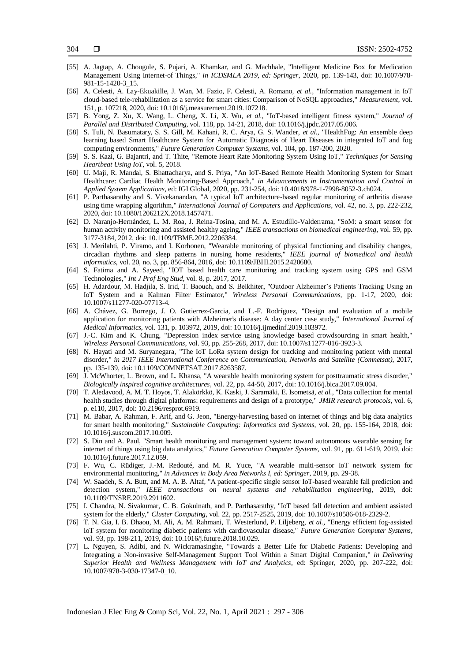- [55] A. Jagtap, A. Chougule, S. Pujari, A. Khamkar, and G. Machhale, "Intelligent Medicine Box for Medication Management Using Internet-of Things," *in ICDSMLA 2019, ed: Springer*, 2020, pp. 139-143, doi: 10.1007/978- 981-15-1420-3\_15.
- [56] A. Celesti, A. Lay-Ekuakille, J. Wan, M. Fazio, F. Celesti, A. Romano, *et al.,* "Information management in IoT cloud-based tele-rehabilitation as a service for smart cities: Comparison of NoSQL approaches," *Measurement,* vol. 151, p. 107218, 2020, doi: 10.1016/j.measurement.2019.107218.
- [57] B. Yong, Z. Xu, X. Wang, L. Cheng, X. Li, X. Wu, *et al.,* "IoT-based intelligent fitness system," *Journal of Parallel and Distributed Computing*, vol. 118, pp. 14-21, 2018, doi: 10.1016/j.jpdc.2017.05.006.
- [58] S. Tuli, N. Basumatary, S. S. Gill, M. Kahani, R. C. Arya, G. S. Wander, *et al.,* "HealthFog: An ensemble deep learning based Smart Healthcare System for Automatic Diagnosis of Heart Diseases in integrated IoT and fog computing environments," *Future Generation Computer Systems*, vol. 104, pp. 187-200, 2020.
- [59] S. S. Kazi, G. Bajantri, and T. Thite, "Remote Heart Rate Monitoring System Using IoT," *Techniques for Sensing Heartbeat Using IoT*, vol. 5, 2018.
- [60] U. Maji, R. Mandal, S. Bhattacharya, and S. Priya, "An IoT-Based Remote Health Monitoring System for Smart Healthcare: Cardiac Health Monitoring-Based Approach," *in Advancements in Instrumentation and Control in Applied System Applications*, ed: IGI Global, 2020, pp. 231-254, doi: 10.4018/978-1-7998-8052-3.ch024.
- [61] P. Parthasarathy and S. Vivekanandan, "A typical IoT architecture-based regular monitoring of arthritis disease using time wrapping algorithm," *International Journal of Computers and Applications*, vol. 42, no. 3, pp. 222-232, 2020, doi: 10.1080/1206212X.2018.1457471.
- [62] D. Naranjo-Hernández, L. M. Roa, J. Reina-Tosina, and M. A. Estudillo-Valderrama, "SoM: a smart sensor for human activity monitoring and assisted healthy ageing," *IEEE transactions on biomedical engineering*, vol. 59, pp. 3177-3184, 2012, doi: 10.1109/TBME.2012.2206384.
- [63] J. Merilahti, P. Viramo, and I. Korhonen, "Wearable monitoring of physical functioning and disability changes, circadian rhythms and sleep patterns in nursing home residents," *IEEE journal of biomedical and health informatics*, vol. 20, no. 3, pp. 856-864, 2016, doi: 10.1109/JBHI.2015.2420680.
- [64] S. Fatima and A. Sayeed, "IOT based health care monitoring and tracking system using GPS and GSM Technologies," *Int J Prof Eng Stud*, vol. 8, p. 2017, 2017.
- [65] H. Adardour, M. Hadjila, S. Irid, T. Baouch, and S. Belkhiter, "Outdoor Alzheimer's Patients Tracking Using an IoT System and a Kalman Filter Estimator," *Wireless Personal Communications*, pp. 1-17, 2020, doi: 10.1007/s11277-020-07713-4.
- [66] A. Chávez, G. Borrego, J. O. Gutierrez-Garcia, and L.-F. Rodríguez, "Design and evaluation of a mobile application for monitoring patients with Alzheimer's disease: A day center case study," *International Journal of Medical Informatics*, vol. 131, p. 103972, 2019, doi: 10.1016/j.ijmedinf.2019.103972.
- [67] J.-C. Kim and K. Chung, "Depression index service using knowledge based crowdsourcing in smart health," *Wireless Personal Communications*, vol. 93, pp. 255-268, 2017, doi: 10.1007/s11277-016-3923-3.
- [68] N. Hayati and M. Suryanegara, "The IoT LoRa system design for tracking and monitoring patient with mental disorder," *in 2017 IEEE International Conference on Communication, Networks and Satellite (Comnetsat)*, 2017, pp. 135-139, doi: 10.1109/COMNETSAT.2017.8263587.
- [69] J. McWhorter, L. Brown, and L. Khansa, "A wearable health monitoring system for posttraumatic stress disorder," *Biologically inspired cognitive architectures*, vol. 22, pp. 44-50, 2017, doi: 10.1016/j.bica.2017.09.004.
- [70] T. Aledavood, A. M. T. Hoyos, T. Alakörkkö, K. Kaski, J. Saramäki, E. Isometsä, *et al.,* "Data collection for mental health studies through digital platforms: requirements and design of a prototype," *JMIR research protocols*, vol. 6, p. e110, 2017, doi: 10.2196/resprot.6919.
- [71] M. Babar, A. Rahman, F. Arif, and G. Jeon, "Energy-harvesting based on internet of things and big data analytics for smart health monitoring," *Sustainable Computing: Informatics and Systems*, vol. 20, pp. 155-164, 2018, doi: 10.1016/j.suscom.2017.10.009.
- [72] S. Din and A. Paul, "Smart health monitoring and management system: toward autonomous wearable sensing for internet of things using big data analytics," *Future Generation Computer Systems*, vol. 91, pp. 611-619, 2019, doi: 10.1016/j.future.2017.12.059.
- [73] F. Wu, C. Rüdiger, J.-M. Redouté, and M. R. Yuce, "A wearable multi-sensor IoT network system for environmental monitoring," *in Advances in Body Area Networks I, ed: Springer*, 2019, pp. 29-38.
- [74] W. Saadeh, S. A. Butt, and M. A. B. Altaf, "A patient-specific single sensor IoT-based wearable fall prediction and detection system," *IEEE transactions on neural systems and rehabilitation engineering*, 2019, doi: 10.1109/TNSRE.2019.2911602.
- [75] I. Chandra, N. Sivakumar, C. B. Gokulnath, and P. Parthasarathy, "IoT based fall detection and ambient assisted system for the elderly," *Cluster Computing*, vol. 22, pp. 2517-2525, 2019, doi: 10.1007/s10586-018-2329-2.
- [76] T. N. Gia, I. B. Dhaou, M. Ali, A. M. Rahmani, T. Westerlund, P. Liljeberg, *et al.,* "Energy efficient fog-assisted IoT system for monitoring diabetic patients with cardiovascular disease," *Future Generation Computer Systems*, vol. 93, pp. 198-211, 2019, doi: 10.1016/j.future.2018.10.029.
- [77] L. Nguyen, S. Adibi, and N. Wickramasinghe, "Towards a Better Life for Diabetic Patients: Developing and Integrating a Non-invasive Self-Management Support Tool Within a Smart Digital Companion," *in Delivering Superior Health and Wellness Management with IoT and Analytics*, ed: Springer, 2020, pp. 207-222, doi: 10.1007/978-3-030-17347-0\_10.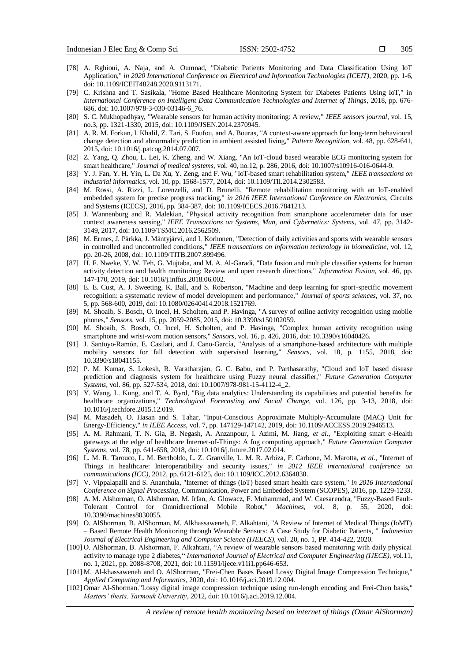- [78] A. Rghioui, A. Naja, and A. Oumnad, "Diabetic Patients Monitoring and Data Classification Using IoT Application," *in 2020 International Conference on Electrical and Information Technologies (ICEIT)*, 2020, pp. 1-6, doi: 10.1109/ICEIT48248.2020.9113171.
- [79] C. Krishna and T. Sasikala, "Home Based Healthcare Monitoring System for Diabetes Patients Using IoT," in *International Conference on Intelligent Data Communication Technologies and Internet of Things*, 2018, pp. 676- 686, doi: 10.1007/978-3-030-03146-6\_76.
- [80] S. C. Mukhopadhyay, "Wearable sensors for human activity monitoring: A review," *IEEE sensors journal*, vol. 15, no.3, pp. 1321-1330, 2015, doi: 10.1109/JSEN.2014.2370945.
- [81] A. R. M. Forkan, I. Khalil, Z. Tari, S. Foufou, and A. Bouras, "A context-aware approach for long-term behavioural change detection and abnormality prediction in ambient assisted living," *Pattern Recognition*, vol. 48, pp. 628-641, 2015, doi: 10.1016/j.patcog.2014.07.007.
- [82] Z. Yang, Q. Zhou, L. Lei, K. Zheng, and W. Xiang, "An IoT-cloud based wearable ECG monitoring system for smart healthcare," *Journal of medical systems*, vol. 40, no.12, p. 286, 2016, doi: 10.1007/s10916-016-0644-9.
- [83] Y. J. Fan, Y. H. Yin, L. Da Xu, Y. Zeng, and F. Wu, "IoT-based smart rehabilitation system," *IEEE transactions on industrial informatics*, vol. 10, pp. 1568-1577, 2014, doi: 10.1109/TII.2014.2302583.
- [84] M. Rossi, A. Rizzi, L. Lorenzelli, and D. Brunelli, "Remote rehabilitation monitoring with an IoT-enabled embedded system for precise progress tracking," *in 2016 IEEE International Conference on Electronics*, Circuits and Systems (ICECS), 2016, pp. 384-387, doi: 10.1109/ICECS.2016.7841213.
- [85] J. Wannenburg and R. Malekian, "Physical activity recognition from smartphone accelerometer data for user context awareness sensing," *IEEE Transactions on Systems, Man, and Cybernetics: Systems*, vol. 47, pp. 3142- 3149, 2017, doi: 10.1109/TSMC.2016.2562509.
- [86] M. Ermes, J. Pärkkä, J. Mäntyjärvi, and I. Korhonen, "Detection of daily activities and sports with wearable sensors in controlled and uncontrolled conditions," *IEEE transactions on information technology in biomedicine,* vol. 12, pp. 20-26, 2008, doi: 10.1109/TITB.2007.899496.
- [87] H. F. Nweke, Y. W. Teh, G. Mujtaba, and M. A. Al-Garadi, "Data fusion and multiple classifier systems for human activity detection and health monitoring: Review and open research directions," *Information Fusion*, vol. 46, pp. 147-170, 2019, doi: 10.1016/j.inffus.2018.06.002.
- [88] E. E. Cust, A. J. Sweeting, K. Ball, and S. Robertson, "Machine and deep learning for sport-specific movement recognition: a systematic review of model development and performance," *Journal of sports sciences*, vol. 37, no. 5, pp. 568-600, 2019, doi: 10.1080/02640414.2018.1521769.
- [89] M. Shoaib, S. Bosch, O. Incel, H. Scholten, and P. Havinga, "A survey of online activity recognition using mobile phones," *Sensors*, vol. 15, pp. 2059-2085, 2015, doi: 10.3390/s150102059.
- [90] M. Shoaib, S. Bosch, O. Incel, H. Scholten, and P. Havinga, "Complex human activity recognition using smartphone and wrist-worn motion sensors," *Sensors*, vol. 16, p. 426, 2016, doi: 10.3390/s16040426.
- [91] J. Santoyo-Ramón, E. Casilari, and J. Cano-García, "Analysis of a smartphone-based architecture with multiple mobility sensors for fall detection with supervised learning," *Sensors*, vol. 18, p. 1155, 2018, doi: 10.3390/s18041155.
- [92] P. M. Kumar, S. Lokesh, R. Varatharajan, G. C. Babu, and P. Parthasarathy, "Cloud and IoT based disease prediction and diagnosis system for healthcare using Fuzzy neural classifier," *Future Generation Computer Systems*, vol. 86, pp. 527-534, 2018, doi: 10.1007/978-981-15-4112-4\_2.
- [93] Y. Wang, L. Kung, and T. A. Byrd, "Big data analytics: Understanding its capabilities and potential benefits for healthcare organizations," *Technological Forecasting and Social Change*, vol. 126, pp. 3-13, 2018, doi: 10.1016/j.techfore.2015.12.019.
- [94] M. Masadeh, O. Hasan and S. Tahar, "Input-Conscious Approximate Multiply-Accumulate (MAC) Unit for Energy-Efficiency," *in IEEE Access*, vol. 7, pp. 147129-147142, 2019, doi: 10.1109/ACCESS.2019.2946513.
- [95] A. M. Rahmani, T. N. Gia, B. Negash, A. Anzanpour, I. Azimi, M. Jiang, *et al.,* "Exploiting smart e-Health gateways at the edge of healthcare Internet-of-Things: A fog computing approach," *Future Generation Computer Systems*, vol. 78, pp. 641-658, 2018, doi: 10.1016/j.future.2017.02.014.
- [96] L. M. R. Tarouco, L. M. Bertholdo, L. Z. Granville, L. M. R. Arbiza, F. Carbone, M. Marotta, *et al.,* "Internet of Things in healthcare: Interoperatibility and security issues," *in 2012 IEEE international conference on communications (ICC)*, 2012, pp. 6121-6125, doi: 10.1109/ICC.2012.6364830.
- [97] V. Vippalapalli and S. Ananthula, "Internet of things (IoT) based smart health care system," *in 2016 International Conference on Signal Processing*, Communication, Power and Embedded System (SCOPES), 2016, pp. 1229-1233.
- [98] A. M. Alshorman, O. Alshorman, M. Irfan, A. Glowacz, F. Muhammad, and W. Caesarendra, "Fuzzy-Based Fault-Tolerant Control for Omnidirectional Mobile Robot," *Machines*, vol. 8, p. 55, 2020, doi: 10.3390/machines8030055.
- [99] O. AlShorman, B. AlShorman, M. Alkhassaweneh, F. Alkahtani, "A Review of Internet of Medical Things (IoMT) – Based Remote Health Monitoring through Wearable Sensors: A Case Study for Diabetic Patients, " *Indonesian Journal of Electrical Engineering and Computer Science (IJEECS)*, vol. 20, no. 1, PP. 414-422, 2020.
- [100] O. AlShorman, B. Alshorman, F. Alkahtani, "A review of wearable sensors based monitoring with daily physical activity to manage type 2 diabetes," *International Journal of Electrical and Computer Engineering (IJECE)*, vol.11, no. 1, 2021, pp. 2088-8708, 2021, doi: 10.11591/ijece.v11i1.pp646-653.
- [101] M. Al-khassaweneh and O. AlShorman, "Frei-Chen Bases Based Lossy Digital Image Compression Technique," *Applied Computing and Informatics*, 2020, doi: 10.1016/j.aci.2019.12.004.
- [102] Omar Al-Shorman."Lossy digital image compression technique using run-length encoding and Frei-Chen basis," *Masters' thesis, Yarmouk University*, 2012, doi: 10.1016/j.aci.2019.12.004.